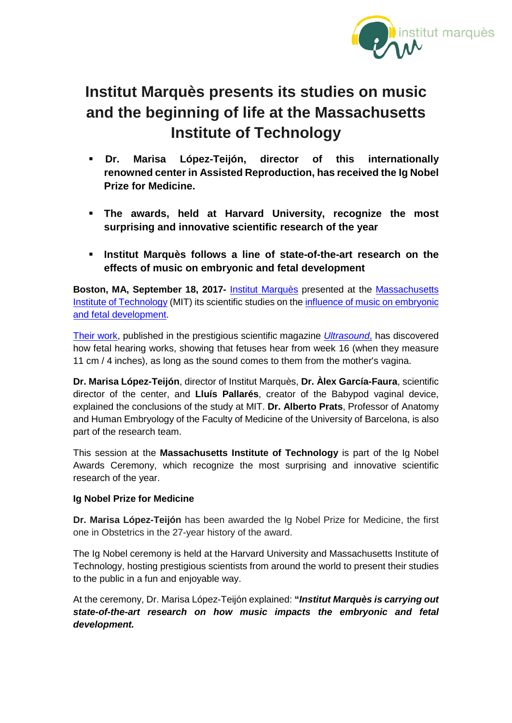

## **Institut Marquès presents its studies on music and the beginning of life at the Massachusetts Institute of Technology**

- **Dr. Marisa López-Teijón, director of this internationally renowned center in Assisted Reproduction, has received the Ig Nobel Prize for Medicine.**
- **The awards, held at Harvard University, recognize the most surprising and innovative scientific research of the year**
- **Institut Marquès follows a line of state-of-the-art research on the effects of music on embryonic and fetal development**

**Boston, MA, September 18, 2017-** [Institut Marquès](http://institutomarques.com/en/) presented at the [Massachusetts](http://web.mit.edu/)  [Institute of Technology](http://web.mit.edu/) (MIT) its scientific studies on the [influence of music on embryonic](http://institutomarques.com/en/scientific-area/)  [and fetal development.](http://institutomarques.com/en/scientific-area/)

[Their work,](http://institutomarques.com/en/scientific-area/response-fetus-vaginal-music-2/) published in the prestigious scientific magazine *[Ultrasound](http://www.institutomarques.com/pdf/ultrasound.pdf)*, has discovered how fetal hearing works, showing that fetuses hear from week 16 (when they measure 11 cm / 4 inches), as long as the sound comes to them from the mother's vagina.

**Dr. Marisa López-Teijón**, director of Institut Marquès, **Dr. Àlex García-Faura**, scientific director of the center, and **Lluís Pallarés**, creator of the Babypod vaginal device, explained the conclusions of the study at MIT. **Dr. Alberto Prats**, Professor of Anatomy and Human Embryology of the Faculty of Medicine of the University of Barcelona, is also part of the research team.

This session at the **Massachusetts Institute of Technology** is part of the Ig Nobel Awards Ceremony, which recognize the most surprising and innovative scientific research of the year.

## **Ig Nobel Prize for Medicine**

**Dr. Marisa López-Teijón** has been awarded the Ig Nobel Prize for Medicine, the first one in Obstetrics in the 27-year history of the award.

The Ig Nobel ceremony is held at the Harvard University and Massachusetts Institute of Technology, hosting prestigious scientists from around the world to present their studies to the public in a fun and enjoyable way.

At the ceremony, Dr. Marisa López-Teijón explained: **"***Institut Marquès is carrying out state-of-the-art research on how music impacts the embryonic and fetal development.*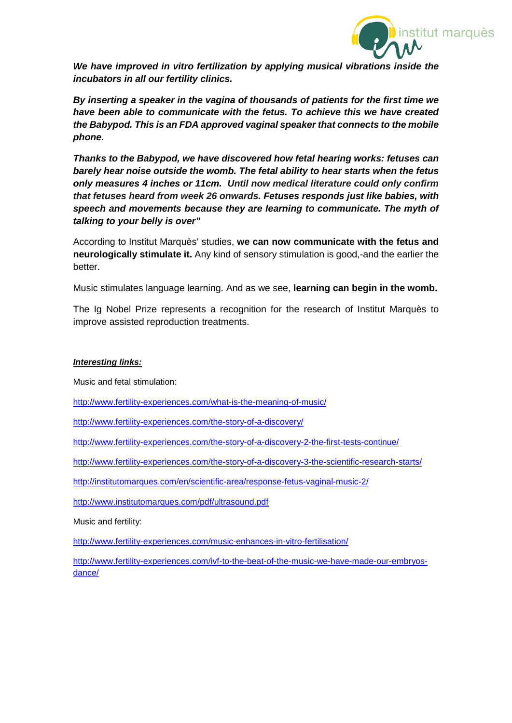

*We have improved in vitro fertilization by applying musical vibrations inside the incubators in all our fertility clinics.*

*By inserting a speaker in the vagina of thousands of patients for the first time we have been able to communicate with the fetus. To achieve this we have created the Babypod. This is an FDA approved vaginal speaker that connects to the mobile phone.* 

*Thanks to the Babypod, we have discovered how fetal hearing works: fetuses can barely hear noise outside the womb. The fetal ability to hear starts when the fetus only measures 4 inches or 11cm. Until now medical literature could only confirm that fetuses heard from week 26 onwards. Fetuses responds just like babies, with speech and movements because they are learning to communicate. The myth of talking to your belly is over"*

According to Institut Marquès' studies, **we can now communicate with the fetus and neurologically stimulate it.** Any kind of sensory stimulation is good,-and the earlier the better.

Music stimulates language learning. And as we see, **learning can begin in the womb.**

The Ig Nobel Prize represents a recognition for the research of Institut Marquès to improve assisted reproduction treatments.

## *Interesting links:*

Music and fetal stimulation:

<http://www.fertility-experiences.com/what-is-the-meaning-of-music/>

<http://www.fertility-experiences.com/the-story-of-a-discovery/>

<http://www.fertility-experiences.com/the-story-of-a-discovery-2-the-first-tests-continue/>

<http://www.fertility-experiences.com/the-story-of-a-discovery-3-the-scientific-research-starts/>

<http://institutomarques.com/en/scientific-area/response-fetus-vaginal-music-2/>

<http://www.institutomarques.com/pdf/ultrasound.pdf>

Music and fertility:

<http://www.fertility-experiences.com/music-enhances-in-vitro-fertilisation/>

[http://www.fertility-experiences.com/ivf-to-the-beat-of-the-music-we-have-made-our-embryos](http://www.fertility-experiences.com/ivf-to-the-beat-of-the-music-we-have-made-our-embryos-dance/)[dance/](http://www.fertility-experiences.com/ivf-to-the-beat-of-the-music-we-have-made-our-embryos-dance/)